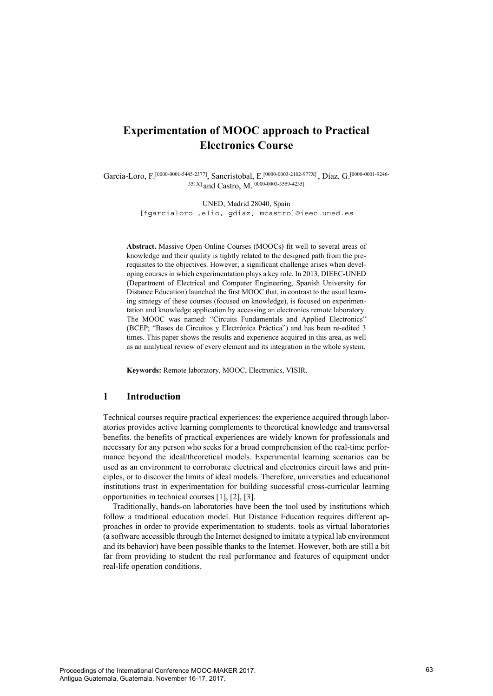# **Experimentation of MOOC approach to Practical Electronics Course**

Garcia-Loro, F.<sup>[0000-0001-5445-2377]</sup>, Sancristobal, E.<sup>[0000-0003-2102-977X]</sup>, Diaz, G.<sup>[0000-0001-9246-</sup> 351X] and Castro, M.[0000-0003-3559-4235]

> UNED, Madrid 28040, Spain [fgarcialoro ,elio, gdiaz, mcastro]@ieec.uned.es

**Abstract.** Massive Open Online Courses (MOOCs) fit well to several areas of knowledge and their quality is tightly related to the designed path from the prerequisites to the objectives. However, a significant challenge arises when developing courses in which experimentation plays a key role. In 2013, DIEEC-UNED (Department of Electrical and Computer Engineering, Spanish University for Distance Education) launched the first MOOC that, in contrast to the usual learning strategy of these courses (focused on knowledge), is focused on experimentation and knowledge application by accessing an electronics remote laboratory. The MOOC was named: "Circuits Fundamentals and Applied Electronics" (BCEP; "Bases de Circuitos y Electrónica Práctica") and has been re-edited 3 times. This paper shows the results and experience acquired in this area, as well as an analytical review of every element and its integration in the whole system.

**Keywords:** Remote laboratory, MOOC, Electronics, VISIR.

# **1 Introduction**

Technical courses require practical experiences: the experience acquired through laboratories provides active learning complements to theoretical knowledge and transversal benefits. the benefits of practical experiences are widely known for professionals and necessary for any person who seeks for a broad comprehension of the real-time performance beyond the ideal/theoretical models. Experimental learning scenarios can be used as an environment to corroborate electrical and electronics circuit laws and principles, or to discover the limits of ideal models. Therefore, universities and educational institutions trust in experimentation for building successful cross-curricular learning opportunities in technical courses [1], [2], [3].

Traditionally, hands-on laboratories have been the tool used by institutions which follow a traditional education model. But Distance Education requires different approaches in order to provide experimentation to students. tools as virtual laboratories (a software accessible through the Internet designed to imitate a typical lab environment and its behavior) have been possible thanks to the Internet. However, both are still a bit far from providing to student the real performance and features of equipment under real-life operation conditions.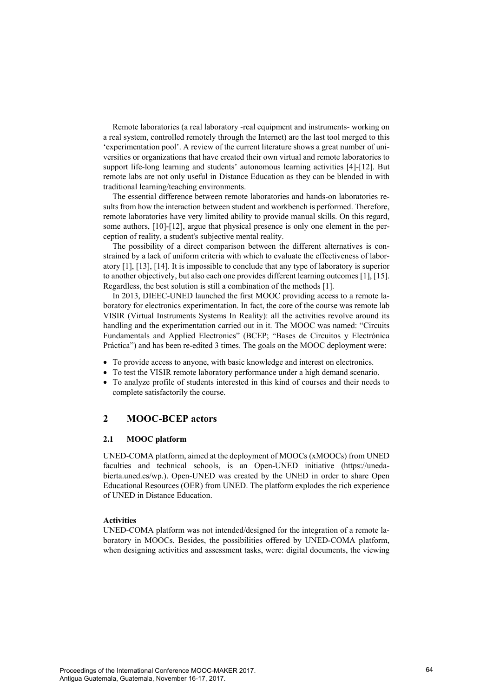Remote laboratories (a real laboratory -real equipment and instruments- working on a real system, controlled remotely through the Internet) are the last tool merged to this 'experimentation pool'. A review of the current literature shows a great number of universities or organizations that have created their own virtual and remote laboratories to support life-long learning and students' autonomous learning activities [4]-[12]. But remote labs are not only useful in Distance Education as they can be blended in with traditional learning/teaching environments.

The essential difference between remote laboratories and hands-on laboratories results from how the interaction between student and workbench is performed. Therefore, remote laboratories have very limited ability to provide manual skills. On this regard, some authors, [10]-[12], argue that physical presence is only one element in the perception of reality, a student's subjective mental reality.

The possibility of a direct comparison between the different alternatives is constrained by a lack of uniform criteria with which to evaluate the effectiveness of laboratory [1], [13], [14]. It is impossible to conclude that any type of laboratory is superior to another objectively, but also each one provides different learning outcomes [1], [15]. Regardless, the best solution is still a combination of the methods [1].

In 2013, DIEEC-UNED launched the first MOOC providing access to a remote laboratory for electronics experimentation. In fact, the core of the course was remote lab VISIR (Virtual Instruments Systems In Reality): all the activities revolve around its handling and the experimentation carried out in it. The MOOC was named: "Circuits Fundamentals and Applied Electronics" (BCEP; "Bases de Circuitos y Electrónica Práctica") and has been re-edited 3 times. The goals on the MOOC deployment were:

- To provide access to anyone, with basic knowledge and interest on electronics.
- To test the VISIR remote laboratory performance under a high demand scenario.
- To analyze profile of students interested in this kind of courses and their needs to complete satisfactorily the course.

# **2 MOOC-BCEP actors**

# **2.1 MOOC platform**

UNED-COMA platform, aimed at the deployment of MOOCs (xMOOCs) from UNED faculties and technical schools, is an Open-UNED initiative (https://unedabierta.uned.es/wp.). Open-UNED was created by the UNED in order to share Open Educational Resources (OER) from UNED. The platform explodes the rich experience of UNED in Distance Education.

#### **Activities**

UNED-COMA platform was not intended/designed for the integration of a remote laboratory in MOOCs. Besides, the possibilities offered by UNED-COMA platform, when designing activities and assessment tasks, were: digital documents, the viewing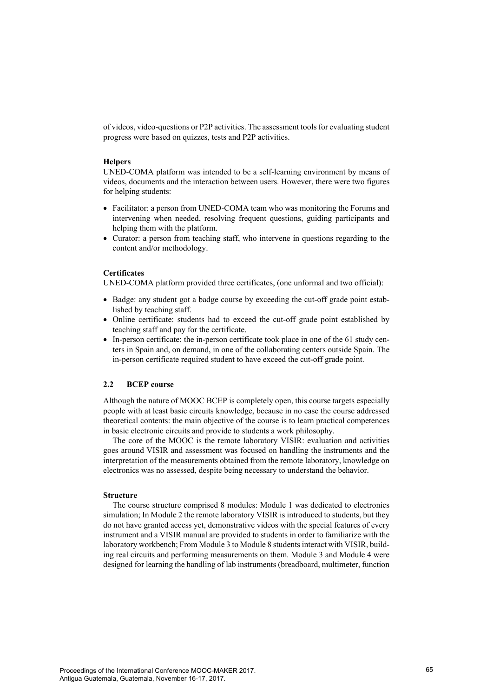of videos, video-questions or P2P activities. The assessment tools for evaluating student progress were based on quizzes, tests and P2P activities.

## **Helpers**

UNED-COMA platform was intended to be a self-learning environment by means of videos, documents and the interaction between users. However, there were two figures for helping students:

- Facilitator: a person from UNED-COMA team who was monitoring the Forums and intervening when needed, resolving frequent questions, guiding participants and helping them with the platform.
- Curator: a person from teaching staff, who intervene in questions regarding to the content and/or methodology.

#### **Certificates**

UNED-COMA platform provided three certificates, (one unformal and two official):

- Badge: any student got a badge course by exceeding the cut-off grade point established by teaching staff.
- Online certificate: students had to exceed the cut-off grade point established by teaching staff and pay for the certificate.
- In-person certificate: the in-person certificate took place in one of the 61 study centers in Spain and, on demand, in one of the collaborating centers outside Spain. The in-person certificate required student to have exceed the cut-off grade point.

# **2.2 BCEP course**

Although the nature of MOOC BCEP is completely open, this course targets especially people with at least basic circuits knowledge, because in no case the course addressed theoretical contents: the main objective of the course is to learn practical competences in basic electronic circuits and provide to students a work philosophy.

The core of the MOOC is the remote laboratory VISIR: evaluation and activities goes around VISIR and assessment was focused on handling the instruments and the interpretation of the measurements obtained from the remote laboratory, knowledge on electronics was no assessed, despite being necessary to understand the behavior.

# **Structure**

The course structure comprised 8 modules: Module 1 was dedicated to electronics simulation; In Module 2 the remote laboratory VISIR is introduced to students, but they do not have granted access yet, demonstrative videos with the special features of every instrument and a VISIR manual are provided to students in order to familiarize with the laboratory workbench; From Module 3 to Module 8 students interact with VISIR, building real circuits and performing measurements on them. Module 3 and Module 4 were designed for learning the handling of lab instruments (breadboard, multimeter, function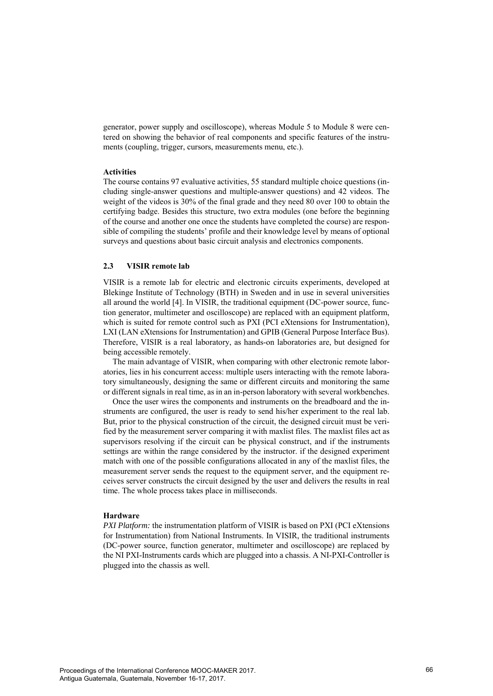generator, power supply and oscilloscope), whereas Module 5 to Module 8 were centered on showing the behavior of real components and specific features of the instruments (coupling, trigger, cursors, measurements menu, etc.).

#### **Activities**

The course contains 97 evaluative activities, 55 standard multiple choice questions (including single-answer questions and multiple-answer questions) and 42 videos. The weight of the videos is 30% of the final grade and they need 80 over 100 to obtain the certifying badge. Besides this structure, two extra modules (one before the beginning of the course and another one once the students have completed the course) are responsible of compiling the students' profile and their knowledge level by means of optional surveys and questions about basic circuit analysis and electronics components.

# **2.3 VISIR remote lab**

VISIR is a remote lab for electric and electronic circuits experiments, developed at Blekinge Institute of Technology (BTH) in Sweden and in use in several universities all around the world [4]. In VISIR, the traditional equipment (DC-power source, function generator, multimeter and oscilloscope) are replaced with an equipment platform, which is suited for remote control such as PXI (PCI eXtensions for Instrumentation), LXI (LAN eXtensions for Instrumentation) and GPIB (General Purpose Interface Bus). Therefore, VISIR is a real laboratory, as hands-on laboratories are, but designed for being accessible remotely.

The main advantage of VISIR, when comparing with other electronic remote laboratories, lies in his concurrent access: multiple users interacting with the remote laboratory simultaneously, designing the same or different circuits and monitoring the same or different signals in real time, as in an in-person laboratory with several workbenches.

Once the user wires the components and instruments on the breadboard and the instruments are configured, the user is ready to send his/her experiment to the real lab. But, prior to the physical construction of the circuit, the designed circuit must be verified by the measurement server comparing it with maxlist files. The maxlist files act as supervisors resolving if the circuit can be physical construct, and if the instruments settings are within the range considered by the instructor. if the designed experiment match with one of the possible configurations allocated in any of the maxlist files, the measurement server sends the request to the equipment server, and the equipment receives server constructs the circuit designed by the user and delivers the results in real time. The whole process takes place in milliseconds.

#### **Hardware**

*PXI Platform:* the instrumentation platform of VISIR is based on PXI (PCI eXtensions for Instrumentation) from National Instruments. In VISIR, the traditional instruments (DC-power source, function generator, multimeter and oscilloscope) are replaced by the NI PXI-Instruments cards which are plugged into a chassis. A NI-PXI-Controller is plugged into the chassis as well.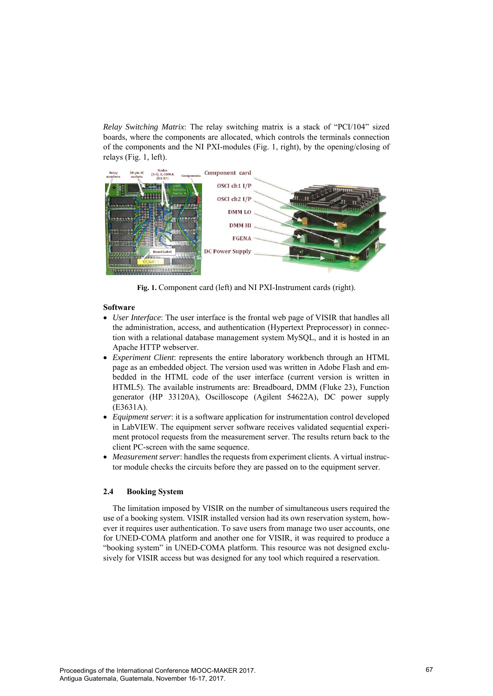*Relay Switching Matrix*: The relay switching matrix is a stack of "PCI/104" sized boards, where the components are allocated, which controls the terminals connection of the components and the NI PXI-modules (Fig. 1, right), by the opening/closing of relays (Fig. 1, left).



**Fig. 1.** Component card (left) and NI PXI-Instrument cards (right).

# **Software**

- *User Interface*: The user interface is the frontal web page of VISIR that handles all the administration, access, and authentication (Hypertext Preprocessor) in connection with a relational database management system MySQL, and it is hosted in an Apache HTTP webserver.
- *Experiment Client*: represents the entire laboratory workbench through an HTML page as an embedded object. The version used was written in Adobe Flash and embedded in the HTML code of the user interface (current version is written in HTML5). The available instruments are: Breadboard, DMM (Fluke 23), Function generator (HP 33120A), Oscilloscope (Agilent 54622A), DC power supply (E3631A).
- *Equipment server*: it is a software application for instrumentation control developed in LabVIEW. The equipment server software receives validated sequential experiment protocol requests from the measurement server. The results return back to the client PC-screen with the same sequence.
- *Measurement server*: handles the requests from experiment clients. A virtual instructor module checks the circuits before they are passed on to the equipment server.

# **2.4 Booking System**

The limitation imposed by VISIR on the number of simultaneous users required the use of a booking system. VISIR installed version had its own reservation system, however it requires user authentication. To save users from manage two user accounts, one for UNED-COMA platform and another one for VISIR, it was required to produce a "booking system" in UNED-COMA platform. This resource was not designed exclusively for VISIR access but was designed for any tool which required a reservation.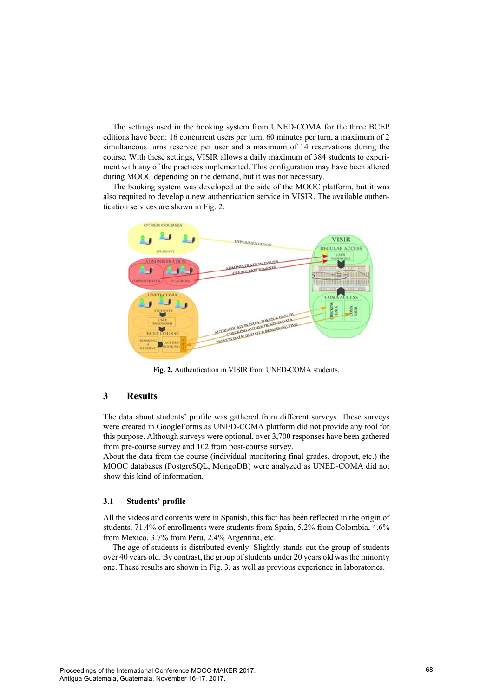The settings used in the booking system from UNED-COMA for the three BCEP editions have been: 16 concurrent users per turn, 60 minutes per turn, a maximum of 2 simultaneous turns reserved per user and a maximum of 14 reservations during the course. With these settings, VISIR allows a daily maximum of 384 students to experiment with any of the practices implemented. This configuration may have been altered during MOOC depending on the demand, but it was not necessary.

The booking system was developed at the side of the MOOC platform, but it was also required to develop a new authentication service in VISIR. The available authentication services are shown in Fig. 2.



**Fig. 2.** Authentication in VISIR from UNED-COMA students.

# **3 Results**

The data about students' profile was gathered from different surveys. These surveys were created in GoogleForms as UNED-COMA platform did not provide any tool for this purpose. Although surveys were optional, over 3,700 responses have been gathered from pre-course survey and 102 from post-course survey.

About the data from the course (individual monitoring final grades, dropout, etc.) the MOOC databases (PostgreSQL, MongoDB) were analyzed as UNED-COMA did not show this kind of information.

## **3.1 Students' profile**

All the videos and contents were in Spanish, this fact has been reflected in the origin of students. 71.4% of enrollments were students from Spain, 5.2% from Colombia, 4.6% from Mexico, 3.7% from Peru, 2.4% Argentina, etc.

The age of students is distributed evenly. Slightly stands out the group of students over 40 years old. By contrast, the group of students under 20 years old was the minority one. These results are shown in Fig. 3, as well as previous experience in laboratories.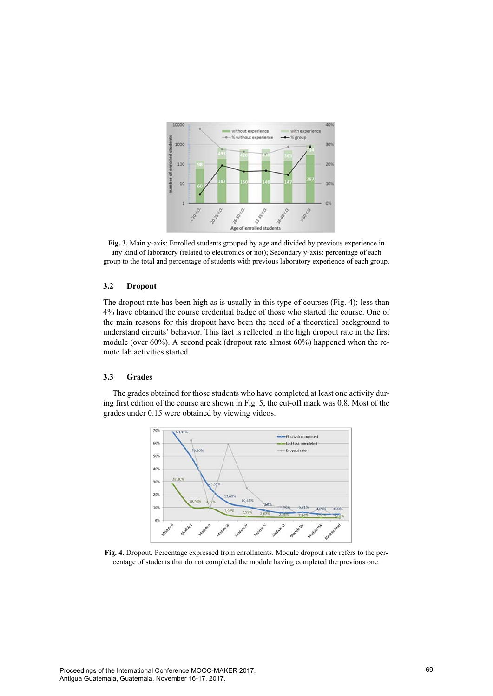

**Fig. 3.** Main y-axis: Enrolled students grouped by age and divided by previous experience in any kind of laboratory (related to electronics or not); Secondary y-axis: percentage of each group to the total and percentage of students with previous laboratory experience of each group.

# **3.2 Dropout**

The dropout rate has been high as is usually in this type of courses (Fig. 4); less than 4% have obtained the course credential badge of those who started the course. One of the main reasons for this dropout have been the need of a theoretical background to understand circuits' behavior. This fact is reflected in the high dropout rate in the first module (over 60%). A second peak (dropout rate almost 60%) happened when the remote lab activities started.

# **3.3 Grades**

The grades obtained for those students who have completed at least one activity during first edition of the course are shown in Fig. 5, the cut-off mark was 0.8. Most of the grades under 0.15 were obtained by viewing videos.



**Fig. 4.** Dropout. Percentage expressed from enrollments. Module dropout rate refers to the percentage of students that do not completed the module having completed the previous one.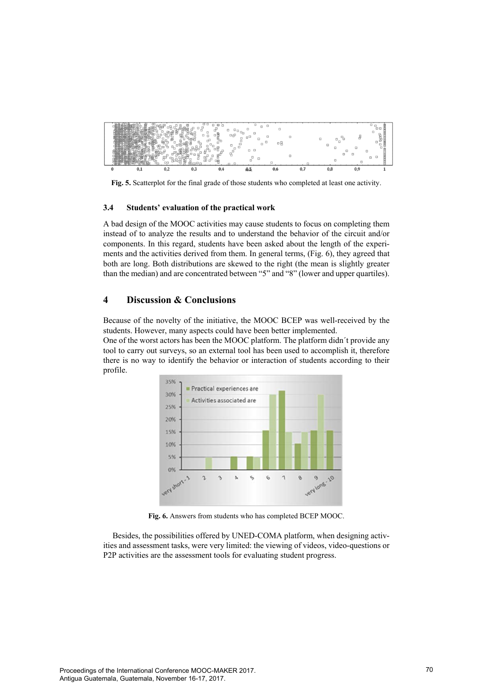

**Fig. 5.** Scatterplot for the final grade of those students who completed at least one activity.

#### **3.4 Students' evaluation of the practical work**

A bad design of the MOOC activities may cause students to focus on completing them instead of to analyze the results and to understand the behavior of the circuit and/or components. In this regard, students have been asked about the length of the experiments and the activities derived from them. In general terms, (Fig. 6), they agreed that both are long. Both distributions are skewed to the right (the mean is slightly greater than the median) and are concentrated between "5" and "8" (lower and upper quartiles).

# **4 Discussion & Conclusions**

Because of the novelty of the initiative, the MOOC BCEP was well-received by the students. However, many aspects could have been better implemented.

One of the worst actors has been the MOOC platform. The platform didn´t provide any tool to carry out surveys, so an external tool has been used to accomplish it, therefore there is no way to identify the behavior or interaction of students according to their profile.



**Fig. 6.** Answers from students who has completed BCEP MOOC.

Besides, the possibilities offered by UNED-COMA platform, when designing activities and assessment tasks, were very limited: the viewing of videos, video-questions or P2P activities are the assessment tools for evaluating student progress.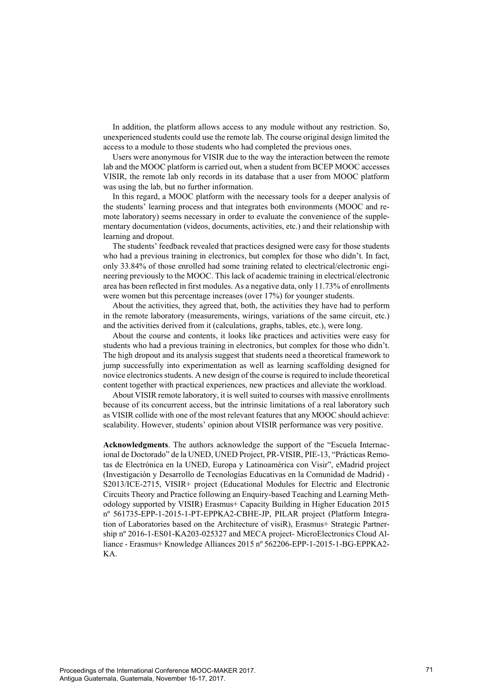In addition, the platform allows access to any module without any restriction. So, unexperienced students could use the remote lab. The course original design limited the access to a module to those students who had completed the previous ones.

Users were anonymous for VISIR due to the way the interaction between the remote lab and the MOOC platform is carried out, when a student from BCEP MOOC accesses VISIR, the remote lab only records in its database that a user from MOOC platform was using the lab, but no further information.

In this regard, a MOOC platform with the necessary tools for a deeper analysis of the students' learning process and that integrates both environments (MOOC and remote laboratory) seems necessary in order to evaluate the convenience of the supplementary documentation (videos, documents, activities, etc.) and their relationship with learning and dropout.

The students' feedback revealed that practices designed were easy for those students who had a previous training in electronics, but complex for those who didn't. In fact, only 33.84% of those enrolled had some training related to electrical/electronic engineering previously to the MOOC. This lack of academic training in electrical/electronic area has been reflected in first modules. As a negative data, only 11.73% of enrollments were women but this percentage increases (over 17%) for younger students.

About the activities, they agreed that, both, the activities they have had to perform in the remote laboratory (measurements, wirings, variations of the same circuit, etc.) and the activities derived from it (calculations, graphs, tables, etc.), were long.

About the course and contents, it looks like practices and activities were easy for students who had a previous training in electronics, but complex for those who didn't. The high dropout and its analysis suggest that students need a theoretical framework to jump successfully into experimentation as well as learning scaffolding designed for novice electronics students. A new design of the course is required to include theoretical content together with practical experiences, new practices and alleviate the workload.

About VISIR remote laboratory, it is well suited to courses with massive enrollments because of its concurrent access, but the intrinsic limitations of a real laboratory such as VISIR collide with one of the most relevant features that any MOOC should achieve: scalability. However, students' opinion about VISIR performance was very positive.

**Acknowledgments**. The authors acknowledge the support of the "Escuela Internacional de Doctorado" de la UNED, UNED Project, PR-VISIR, PIE-13, "Prácticas Remotas de Electrónica en la UNED, Europa y Latinoamérica con Visir", eMadrid project (Investigación y Desarrollo de Tecnologías Educativas en la Comunidad de Madrid) - S2013/ICE-2715, VISIR+ project (Educational Modules for Electric and Electronic Circuits Theory and Practice following an Enquiry-based Teaching and Learning Methodology supported by VISIR) Erasmus+ Capacity Building in Higher Education 2015 nº 561735-EPP-1-2015-1-PT-EPPKA2-CBHE-JP, PILAR project (Platform Integration of Laboratories based on the Architecture of visiR), Erasmus+ Strategic Partnership nº 2016-1-ES01-KA203-025327 and MECA project- MicroElectronics Cloud Alliance - Erasmus+ Knowledge Alliances 2015 nº 562206-EPP-1-2015-1-BG-EPPKA2- KA.